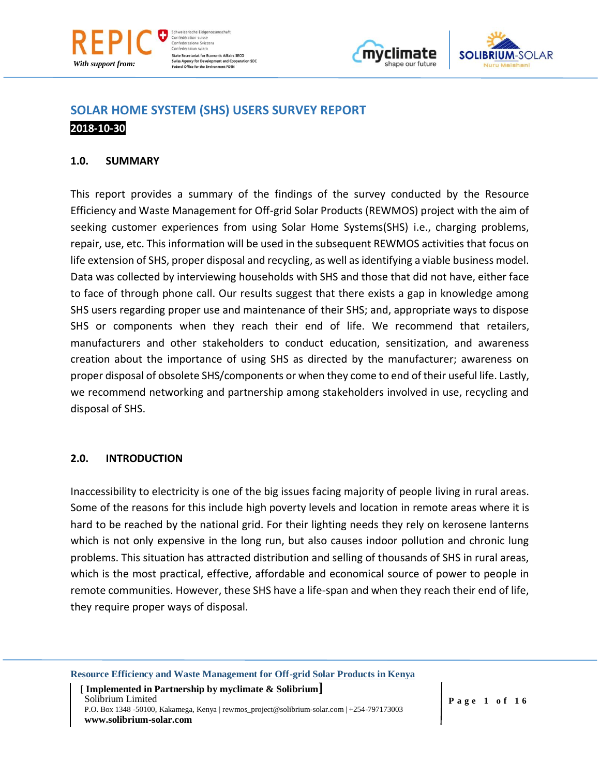

Schweizerische Eidgenas: Confédération suisse Confederazione Svizzera Confederaziun svizra **State Secretariat for Economic Affairs SECO** Swiss Agency for Development and Coop<br>Federal Office for the Environment FOEN **eration SDC** 





# **SOLAR HOME SYSTEM (SHS) USERS SURVEY REPORT 2018-10-30**

## **1.0. SUMMARY**

This report provides a summary of the findings of the survey conducted by the Resource Efficiency and Waste Management for Off-grid Solar Products (REWMOS) project with the aim of seeking customer experiences from using Solar Home Systems(SHS) i.e., charging problems, repair, use, etc. This information will be used in the subsequent REWMOS activities that focus on life extension of SHS, proper disposal and recycling, as well as identifying a viable business model. Data was collected by interviewing households with SHS and those that did not have, either face to face of through phone call. Our results suggest that there exists a gap in knowledge among SHS users regarding proper use and maintenance of their SHS; and, appropriate ways to dispose SHS or components when they reach their end of life. We recommend that retailers, manufacturers and other stakeholders to conduct education, sensitization, and awareness creation about the importance of using SHS as directed by the manufacturer; awareness on proper disposal of obsolete SHS/components or when they come to end of their useful life. Lastly, we recommend networking and partnership among stakeholders involved in use, recycling and disposal of SHS.

## **2.0. INTRODUCTION**

Inaccessibility to electricity is one of the big issues facing majority of people living in rural areas. Some of the reasons for this include high poverty levels and location in remote areas where it is hard to be reached by the national grid. For their lighting needs they rely on kerosene lanterns which is not only expensive in the long run, but also causes indoor pollution and chronic lung problems. This situation has attracted distribution and selling of thousands of SHS in rural areas, which is the most practical, effective, affordable and economical source of power to people in remote communities. However, these SHS have a life-span and when they reach their end of life, they require proper ways of disposal.

**Resource Efficiency and Waste Management for Off-grid Solar Products in Kenya**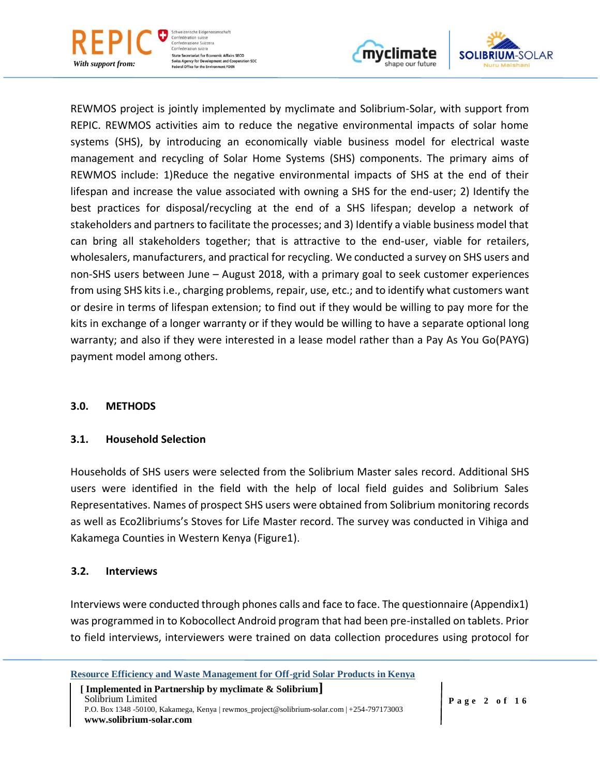

Schweizerische Eidgenoss Confédération suisse Confederazione Svizzera Confederaziun svizra **State Secretariat for Economic Affairs SECO Swiss Agency for Development and Cooperation SDC**<br>Federal Office for the Environment FOEN





REWMOS project is jointly implemented by myclimate and Solibrium-Solar, with support from REPIC. REWMOS activities aim to reduce the negative environmental impacts of solar home systems (SHS), by introducing an economically viable business model for electrical waste management and recycling of Solar Home Systems (SHS) components. The primary aims of REWMOS include: 1)Reduce the negative environmental impacts of SHS at the end of their lifespan and increase the value associated with owning a SHS for the end-user; 2) Identify the best practices for disposal/recycling at the end of a SHS lifespan; develop a network of stakeholders and partners to facilitate the processes; and 3) Identify a viable business model that can bring all stakeholders together; that is attractive to the end-user, viable for retailers, wholesalers, manufacturers, and practical for recycling. We conducted a survey on SHS users and non-SHS users between June – August 2018, with a primary goal to seek customer experiences from using SHS kits i.e., charging problems, repair, use, etc.; and to identify what customers want or desire in terms of lifespan extension; to find out if they would be willing to pay more for the kits in exchange of a longer warranty or if they would be willing to have a separate optional long warranty; and also if they were interested in a lease model rather than a Pay As You Go(PAYG) payment model among others.

## **3.0. METHODS**

## **3.1. Household Selection**

Households of SHS users were selected from the Solibrium Master sales record. Additional SHS users were identified in the field with the help of local field guides and Solibrium Sales Representatives. Names of prospect SHS users were obtained from Solibrium monitoring records as well as Eco2libriums's Stoves for Life Master record. The survey was conducted in Vihiga and Kakamega Counties in Western Kenya (Figure1).

## **3.2. Interviews**

Interviews were conducted through phones calls and face to face. The questionnaire (Appendix1) was programmed in to Kobocollect Android program that had been pre-installed on tablets. Prior to field interviews, interviewers were trained on data collection procedures using protocol for

**Resource Efficiency and Waste Management for Off-grid Solar Products in Kenya**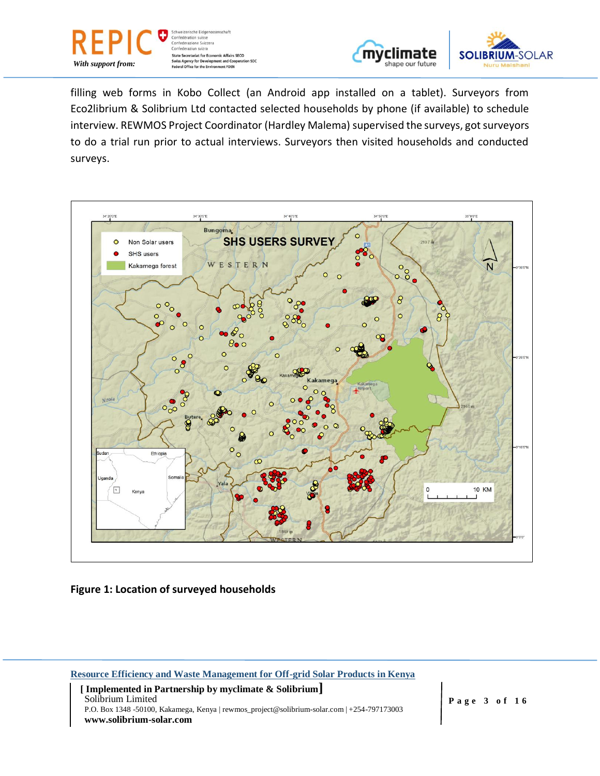



filling web forms in Kobo Collect (an Android app installed on a tablet). Surveyors from Eco2librium & Solibrium Ltd contacted selected households by phone (if available) to schedule interview. REWMOS Project Coordinator (Hardley Malema) supervised the surveys, got surveyors to do a trial run prior to actual interviews. Surveyors then visited households and conducted surveys.



## **Figure 1: Location of surveyed households**

**Resource Efficiency and Waste Management for Off-grid Solar Products in Kenya**

 **[ Implemented in Partnership by myclimate & Solibrium]** Solibrium Limited P.O. Box 1348 -50100, Kakamega, Kenya | rewmos\_project@solibrium-solar.com | +254-797173003 **www.solibrium-solar.com**

**P a g e 3 of 1 6**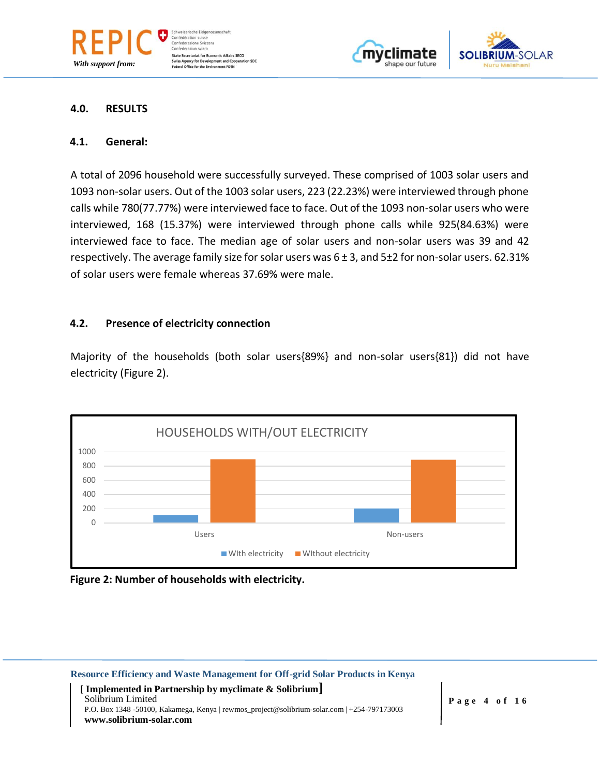





#### **4.0. RESULTS**

*With support from:*

#### **4.1. General:**

A total of 2096 household were successfully surveyed. These comprised of 1003 solar users and 1093 non-solar users. Out of the 1003 solar users, 223 (22.23%) were interviewed through phone calls while 780(77.77%) were interviewed face to face. Out of the 1093 non-solar users who were interviewed, 168 (15.37%) were interviewed through phone calls while 925(84.63%) were interviewed face to face. The median age of solar users and non-solar users was 39 and 42 respectively. The average family size for solar users was  $6 \pm 3$ , and  $5 \pm 2$  for non-solar users. 62.31% of solar users were female whereas 37.69% were male.

#### **4.2. Presence of electricity connection**

Majority of the households (both solar users{89%} and non-solar users{81}) did not have electricity (Figure 2).



**Figure 2: Number of households with electricity.**

**Resource Efficiency and Waste Management for Off-grid Solar Products in Kenya [ Implemented in Partnership by myclimate & Solibrium]**

Solibrium Limited P.O. Box 1348 -50100, Kakamega, Kenya | rewmos\_project@solibrium-solar.com | +254-797173003 **www.solibrium-solar.com**

**P a g e 4 of 1 6**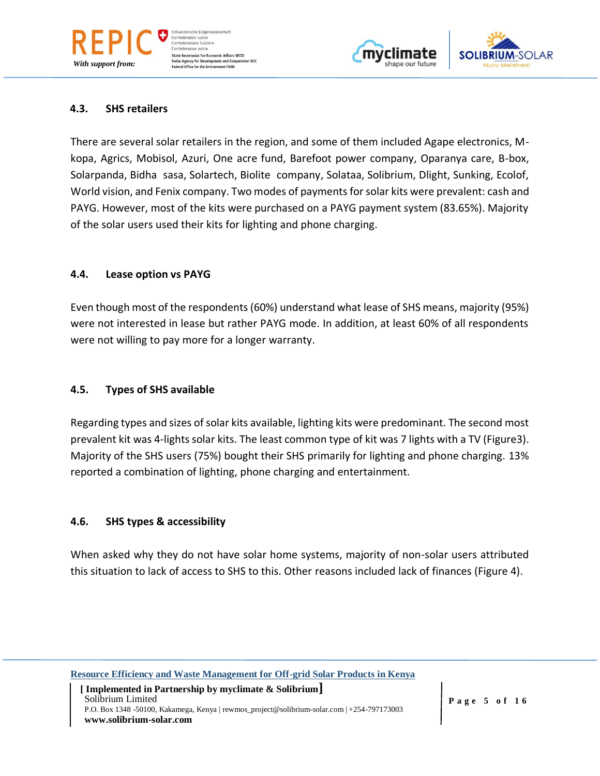





## **4.3. SHS retailers**

*With support from:*

There are several solar retailers in the region, and some of them included Agape electronics, Mkopa, Agrics, Mobisol, Azuri, One acre fund, Barefoot power company, Oparanya care, B-box, Solarpanda, Bidha sasa, Solartech, Biolite company, Solataa, Solibrium, Dlight, Sunking, Ecolof, World vision, and Fenix company. Two modes of payments for solar kits were prevalent: cash and PAYG. However, most of the kits were purchased on a PAYG payment system (83.65%). Majority of the solar users used their kits for lighting and phone charging.

#### **4.4. Lease option vs PAYG**

Even though most of the respondents (60%) understand what lease of SHS means, majority (95%) were not interested in lease but rather PAYG mode. In addition, at least 60% of all respondents were not willing to pay more for a longer warranty.

## **4.5. Types of SHS available**

Regarding types and sizes of solar kits available, lighting kits were predominant. The second most prevalent kit was 4-lights solar kits. The least common type of kit was 7 lights with a TV (Figure3). Majority of the SHS users (75%) bought their SHS primarily for lighting and phone charging. 13% reported a combination of lighting, phone charging and entertainment.

## **4.6. SHS types & accessibility**

When asked why they do not have solar home systems, majority of non-solar users attributed this situation to lack of access to SHS to this. Other reasons included lack of finances (Figure 4).

**Resource Efficiency and Waste Management for Off-grid Solar Products in Kenya**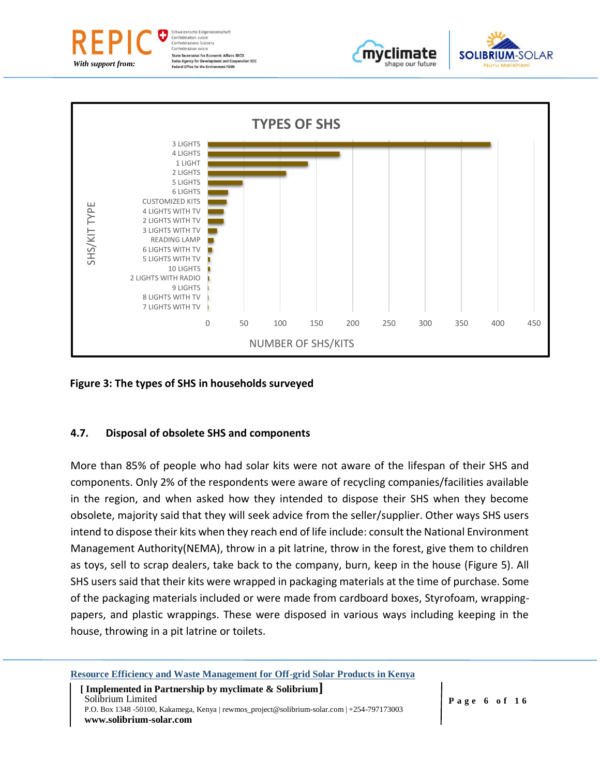







**Figure 3: The types of SHS in households surveyed**

# **4.7. Disposal of obsolete SHS and components**

More than 85% of people who had solar kits were not aware of the lifespan of their SHS and components. Only 2% of the respondents were aware of recycling companies/facilities available in the region, and when asked how they intended to dispose their SHS when they become obsolete, majority said that they will seek advice from the seller/supplier. Other ways SHS users intend to dispose their kits when they reach end of life include: consult the National Environment Management Authority(NEMA), throw in a pit latrine, throw in the forest, give them to children as toys, sell to scrap dealers, take back to the company, burn, keep in the house (Figure 5). All SHS users said that their kits were wrapped in packaging materials at the time of purchase. Some of the packaging materials included or were made from cardboard boxes, Styrofoam, wrappingpapers, and plastic wrappings. These were disposed in various ways including keeping in the house, throwing in a pit latrine or toilets.

**Resource Efficiency and Waste Management for Off-grid Solar Products in Kenya**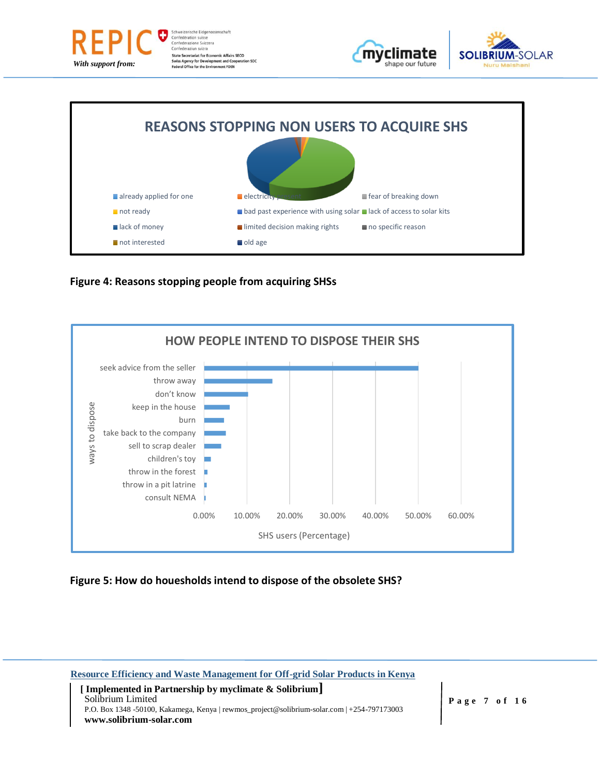

schaft State Secretariat for Economic Affairs SECO<br>Swiss Agency for Development and Cooperation SDC<br>Federal Office for the Environment FOEN











**Figure 5: How do houesholds intend to dispose of the obsolete SHS?**

**Resource Efficiency and Waste Management for Off-grid Solar Products in Kenya [ Implemented in Partnership by myclimate & Solibrium] P a g e 7 of 1 6** Solibrium Limited P.O. Box 1348 -50100, Kakamega, Kenya | rewmos\_project@solibrium-solar.com | +254-797173003 **www.solibrium-solar.com**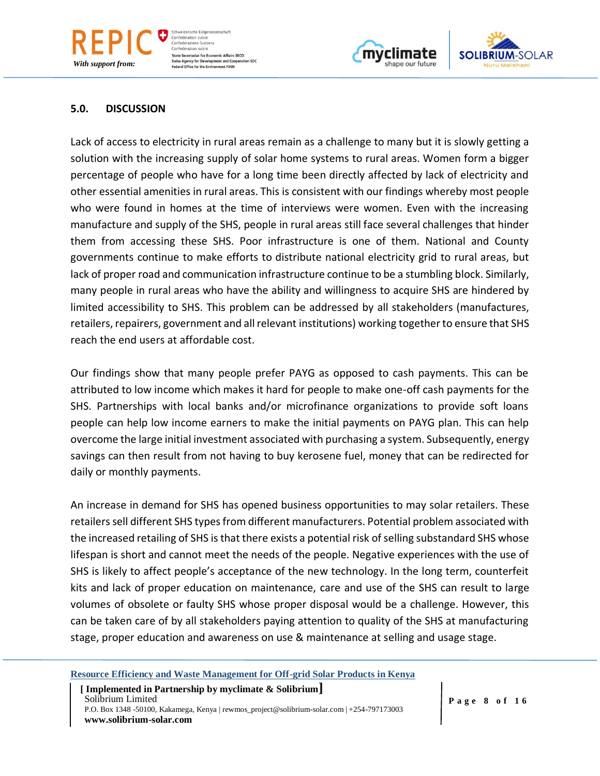#### **5.0. DISCUSSION**

Lack of access to electricity in rural areas remain as a challenge to many but it is slowly getting a solution with the increasing supply of solar home systems to rural areas. Women form a bigger percentage of people who have for a long time been directly affected by lack of electricity and other essential amenities in rural areas. This is consistent with our findings whereby most people who were found in homes at the time of interviews were women. Even with the increasing manufacture and supply of the SHS, people in rural areas still face several challenges that hinder them from accessing these SHS. Poor infrastructure is one of them. National and County governments continue to make efforts to distribute national electricity grid to rural areas, but lack of proper road and communication infrastructure continue to be a stumbling block. Similarly, many people in rural areas who have the ability and willingness to acquire SHS are hindered by limited accessibility to SHS. This problem can be addressed by all stakeholders (manufactures, retailers, repairers, government and all relevant institutions) working together to ensure that SHS reach the end users at affordable cost.

Our findings show that many people prefer PAYG as opposed to cash payments. This can be attributed to low income which makes it hard for people to make one-off cash payments for the SHS. Partnerships with local banks and/or microfinance organizations to provide soft loans people can help low income earners to make the initial payments on PAYG plan. This can help overcome the large initial investment associated with purchasing a system. Subsequently, energy savings can then result from not having to buy kerosene fuel, money that can be redirected for daily or monthly payments.

An increase in demand for SHS has opened business opportunities to may solar retailers. These retailers sell different SHS types from different manufacturers. Potential problem associated with the increased retailing of SHS is that there exists a potential risk of selling substandard SHS whose lifespan is short and cannot meet the needs of the people. Negative experiences with the use of SHS is likely to affect people's acceptance of the new technology. In the long term, counterfeit kits and lack of proper education on maintenance, care and use of the SHS can result to large volumes of obsolete or faulty SHS whose proper disposal would be a challenge. However, this can be taken care of by all stakeholders paying attention to quality of the SHS at manufacturing stage, proper education and awareness on use & maintenance at selling and usage stage.

**Resource Efficiency and Waste Management for Off-grid Solar Products in Kenya**

 **[ Implemented in Partnership by myclimate & Solibrium]** Solibrium Limited P.O. Box 1348 -50100, Kakamega, Kenya | rewmos\_project@solibrium-solar.com | +254-797173003 **www.solibrium-solar.com**



shape our future

chweizerische Eidgenos Confédération suisse Confederazione Svizzera Confederaziun svizra **State Secretariat for Economic Affairs SECO** Swiss Agency for Development and Coop<br>Federal Office for the Environment FOEN **eration SDC** 

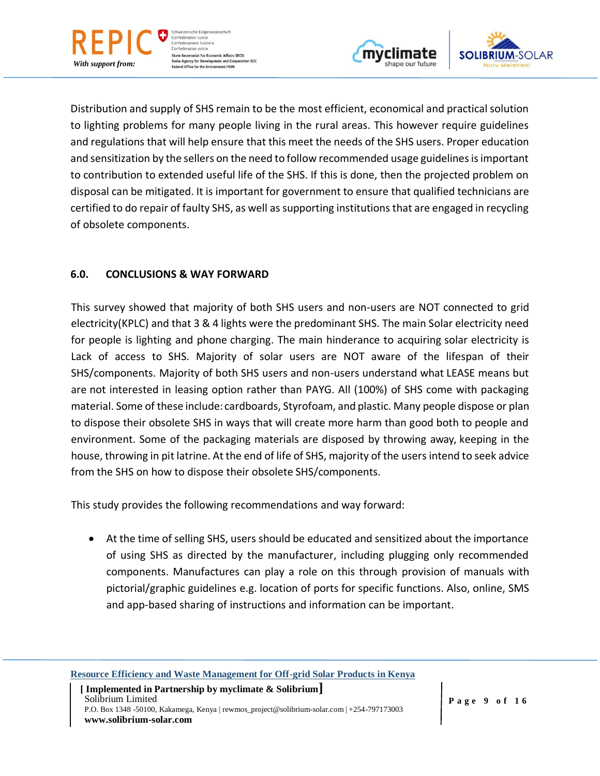

*With support from:*





Distribution and supply of SHS remain to be the most efficient, economical and practical solution to lighting problems for many people living in the rural areas. This however require guidelines and regulations that will help ensure that this meet the needs of the SHS users. Proper education and sensitization by the sellers on the need to follow recommended usage guidelines is important to contribution to extended useful life of the SHS. If this is done, then the projected problem on disposal can be mitigated. It is important for government to ensure that qualified technicians are certified to do repair of faulty SHS, as well as supporting institutions that are engaged in recycling of obsolete components.

# **6.0. CONCLUSIONS & WAY FORWARD**

This survey showed that majority of both SHS users and non-users are NOT connected to grid electricity(KPLC) and that 3 & 4 lights were the predominant SHS. The main Solar electricity need for people is lighting and phone charging. The main hinderance to acquiring solar electricity is Lack of access to SHS. Majority of solar users are NOT aware of the lifespan of their SHS/components. Majority of both SHS users and non-users understand what LEASE means but are not interested in leasing option rather than PAYG. All (100%) of SHS come with packaging material. Some of these include: cardboards, Styrofoam, and plastic. Many people dispose or plan to dispose their obsolete SHS in ways that will create more harm than good both to people and environment. Some of the packaging materials are disposed by throwing away, keeping in the house, throwing in pit latrine. At the end of life of SHS, majority of the users intend to seek advice from the SHS on how to dispose their obsolete SHS/components.

This study provides the following recommendations and way forward:

• At the time of selling SHS, users should be educated and sensitized about the importance of using SHS as directed by the manufacturer, including plugging only recommended components. Manufactures can play a role on this through provision of manuals with pictorial/graphic guidelines e.g. location of ports for specific functions. Also, online, SMS and app-based sharing of instructions and information can be important.

**Resource Efficiency and Waste Management for Off-grid Solar Products in Kenya**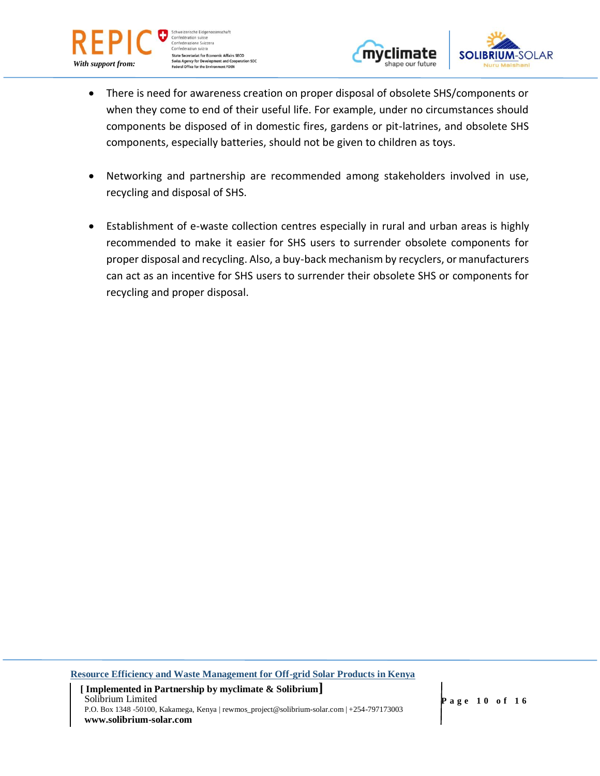

weizerische Eidgenos: Confédération suisse Confederazione Svizzera Confederaziun svizra State Secretariat for Economic Affairs SECO<br>Swiss Agency for Development and Cooperation SDC<br>Federal Office for the Environment FOEN





- There is need for awareness creation on proper disposal of obsolete SHS/components or when they come to end of their useful life. For example, under no circumstances should components be disposed of in domestic fires, gardens or pit-latrines, and obsolete SHS components, especially batteries, should not be given to children as toys.
- Networking and partnership are recommended among stakeholders involved in use, recycling and disposal of SHS.
- Establishment of e-waste collection centres especially in rural and urban areas is highly recommended to make it easier for SHS users to surrender obsolete components for proper disposal and recycling. Also, a buy-back mechanism by recyclers, or manufacturers can act as an incentive for SHS users to surrender their obsolete SHS or components for recycling and proper disposal.

**Resource Efficiency and Waste Management for Off-grid Solar Products in Kenya**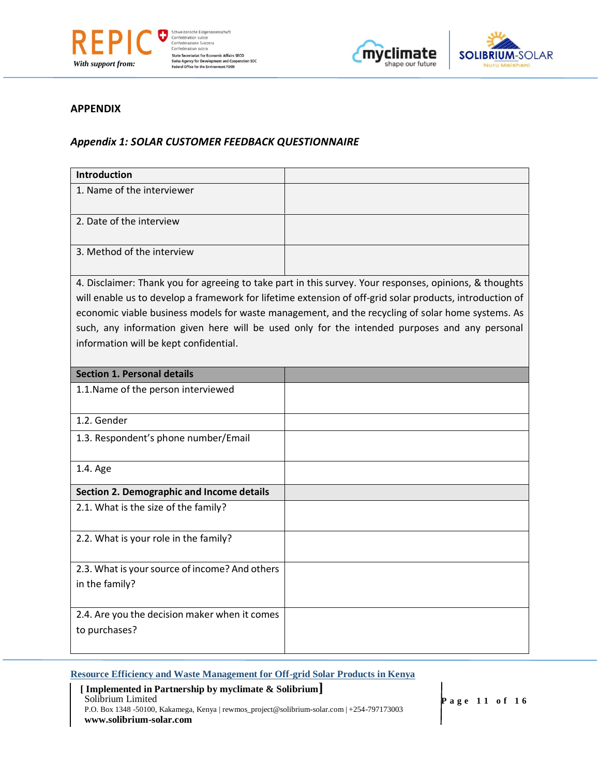





#### **APPENDIX**

#### *Appendix 1: SOLAR CUSTOMER FEEDBACK QUESTIONNAIRE*

| Introduction                                                                                                                                                                                                                                                                                                                                                                                                                                                        |  |
|---------------------------------------------------------------------------------------------------------------------------------------------------------------------------------------------------------------------------------------------------------------------------------------------------------------------------------------------------------------------------------------------------------------------------------------------------------------------|--|
| 1. Name of the interviewer                                                                                                                                                                                                                                                                                                                                                                                                                                          |  |
| 2. Date of the interview                                                                                                                                                                                                                                                                                                                                                                                                                                            |  |
| 3. Method of the interview                                                                                                                                                                                                                                                                                                                                                                                                                                          |  |
| 4. Disclaimer: Thank you for agreeing to take part in this survey. Your responses, opinions, & thoughts<br>will enable us to develop a framework for lifetime extension of off-grid solar products, introduction of<br>economic viable business models for waste management, and the recycling of solar home systems. As<br>such, any information given here will be used only for the intended purposes and any personal<br>information will be kept confidential. |  |
| <b>Section 1. Personal details</b>                                                                                                                                                                                                                                                                                                                                                                                                                                  |  |
| 1.1. Name of the person interviewed                                                                                                                                                                                                                                                                                                                                                                                                                                 |  |
| 1.2. Gender                                                                                                                                                                                                                                                                                                                                                                                                                                                         |  |
| 1.3. Respondent's phone number/Email                                                                                                                                                                                                                                                                                                                                                                                                                                |  |
| 1.4. Age                                                                                                                                                                                                                                                                                                                                                                                                                                                            |  |
| Section 2. Demographic and Income details                                                                                                                                                                                                                                                                                                                                                                                                                           |  |
| 2.1. What is the size of the family?                                                                                                                                                                                                                                                                                                                                                                                                                                |  |
| 2.2. What is your role in the family?                                                                                                                                                                                                                                                                                                                                                                                                                               |  |
| 2.3. What is your source of income? And others<br>in the family?                                                                                                                                                                                                                                                                                                                                                                                                    |  |
| 2.4. Are you the decision maker when it comes<br>to purchases?                                                                                                                                                                                                                                                                                                                                                                                                      |  |

#### **Resource Efficiency and Waste Management for Off-grid Solar Products in Kenya**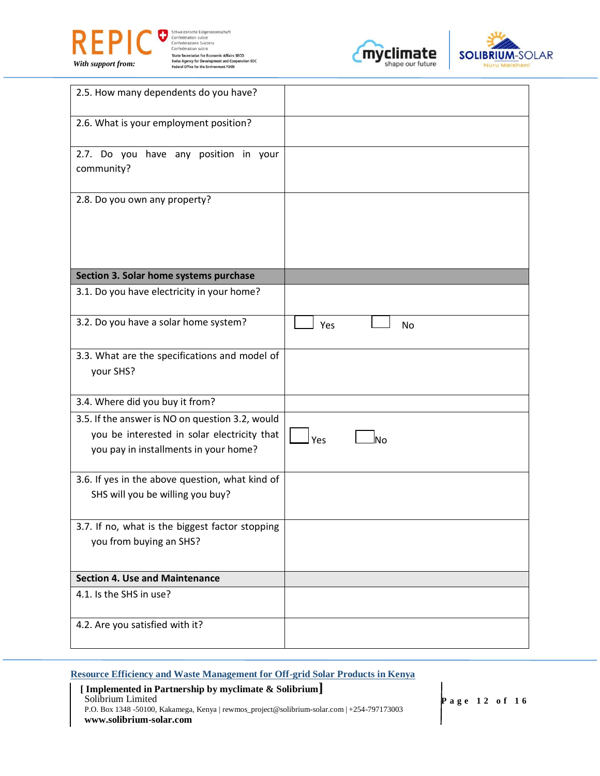





| 2.5. How many dependents do you have?                                                                                                   |                  |
|-----------------------------------------------------------------------------------------------------------------------------------------|------------------|
| 2.6. What is your employment position?                                                                                                  |                  |
| 2.7. Do you have any position in your<br>community?                                                                                     |                  |
| 2.8. Do you own any property?                                                                                                           |                  |
| Section 3. Solar home systems purchase                                                                                                  |                  |
| 3.1. Do you have electricity in your home?                                                                                              |                  |
| 3.2. Do you have a solar home system?                                                                                                   | Yes<br><b>No</b> |
| 3.3. What are the specifications and model of<br>your SHS?                                                                              |                  |
| 3.4. Where did you buy it from?                                                                                                         |                  |
| 3.5. If the answer is NO on question 3.2, would<br>you be interested in solar electricity that<br>you pay in installments in your home? | Yes<br>lno       |
| 3.6. If yes in the above question, what kind of<br>SHS will you be willing you buy?                                                     |                  |
| 3.7. If no, what is the biggest factor stopping<br>you from buying an SHS?                                                              |                  |
| <b>Section 4. Use and Maintenance</b>                                                                                                   |                  |
| 4.1. Is the SHS in use?                                                                                                                 |                  |
| 4.2. Are you satisfied with it?                                                                                                         |                  |

## **Resource Efficiency and Waste Management for Off-grid Solar Products in Kenya**

| [Implemented in Partnership by myclimate $\&$ Solibrium]                                    |
|---------------------------------------------------------------------------------------------|
| Solibrium Limited                                                                           |
| P.O. Box 1348 -50100, Kakamega, Kenya   rewmos_project@solibrium-solar.com   +254-797173003 |
| www.solibrium-solar.com                                                                     |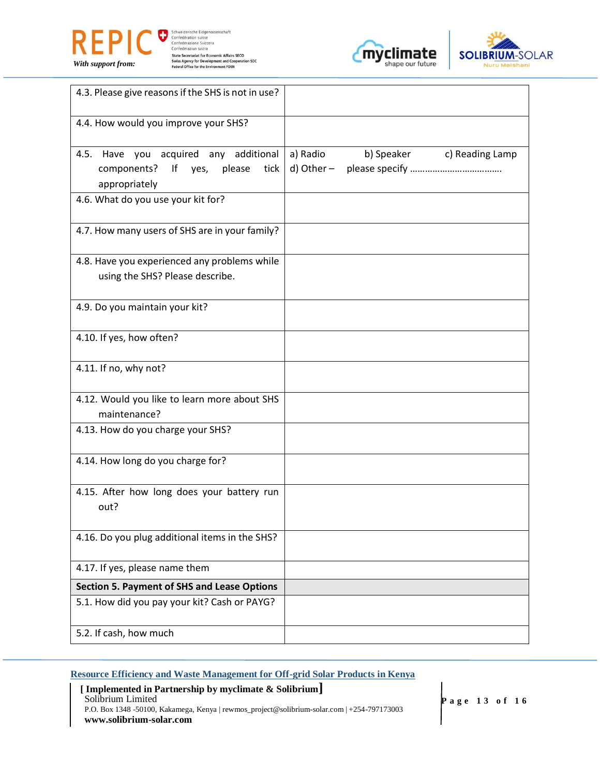

Schweizerische Eidgenossenschaft<br>
Confederation suisse<br>
Confederation svizzera<br>
Confederation svizzera<br>
Confederation svizza<br>
State Secretariat for Economic Affairs SECO<br>
Swiss Agency for Development and Cooperation SDC<br>
F





| 4.3. Please give reasons if the SHS is not in use?                                                    |                                                         |
|-------------------------------------------------------------------------------------------------------|---------------------------------------------------------|
| 4.4. How would you improve your SHS?                                                                  |                                                         |
| 4.5. Have you acquired any additional<br>components?<br>lf<br>please<br>tick<br>yes,<br>appropriately | b) Speaker<br>a) Radio<br>c) Reading Lamp<br>d) Other – |
| 4.6. What do you use your kit for?                                                                    |                                                         |
| 4.7. How many users of SHS are in your family?                                                        |                                                         |
| 4.8. Have you experienced any problems while<br>using the SHS? Please describe.                       |                                                         |
| 4.9. Do you maintain your kit?                                                                        |                                                         |
| 4.10. If yes, how often?                                                                              |                                                         |
| 4.11. If no, why not?                                                                                 |                                                         |
| 4.12. Would you like to learn more about SHS<br>maintenance?                                          |                                                         |
| 4.13. How do you charge your SHS?                                                                     |                                                         |
| 4.14. How long do you charge for?                                                                     |                                                         |
| 4.15. After how long does your battery run<br>out?                                                    |                                                         |
| 4.16. Do you plug additional items in the SHS?                                                        |                                                         |
| 4.17. If yes, please name them                                                                        |                                                         |
| <b>Section 5. Payment of SHS and Lease Options</b>                                                    |                                                         |
| 5.1. How did you pay your kit? Cash or PAYG?                                                          |                                                         |
| 5.2. If cash, how much                                                                                |                                                         |

#### **Resource Efficiency and Waste Management for Off-grid Solar Products in Kenya**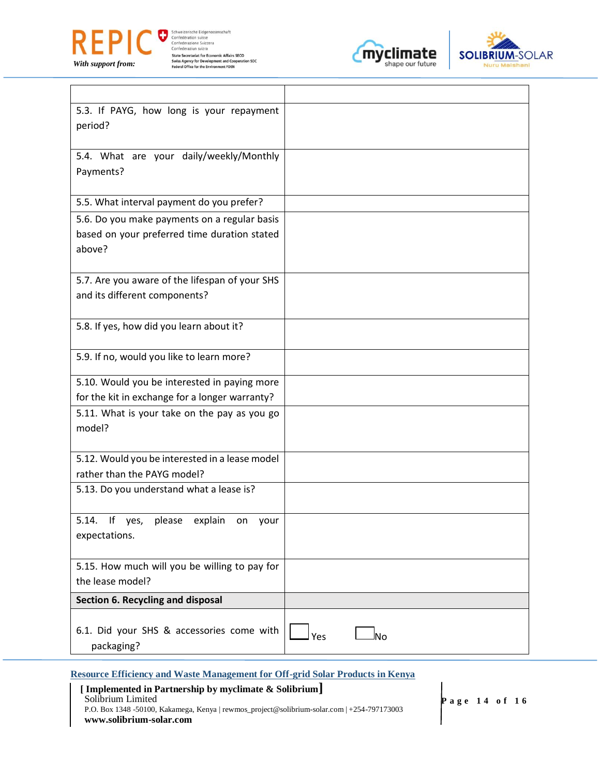

Schweizerische Eidgenossenschaft<br>
Confederazion suisse<br>
Confederazion Svizzera<br>
Confederazium svizze<br>
State Secretarial for Economic Affairs SECO<br>
Swiss Agency for Development and Cooperation SDC<br>
Federal Office for the En





| 5.3. If PAYG, how long is your repayment               |     |
|--------------------------------------------------------|-----|
| period?                                                |     |
|                                                        |     |
| 5.4. What are your daily/weekly/Monthly                |     |
| Payments?                                              |     |
|                                                        |     |
| 5.5. What interval payment do you prefer?              |     |
| 5.6. Do you make payments on a regular basis           |     |
| based on your preferred time duration stated           |     |
| above?                                                 |     |
|                                                        |     |
| 5.7. Are you aware of the lifespan of your SHS         |     |
| and its different components?                          |     |
|                                                        |     |
| 5.8. If yes, how did you learn about it?               |     |
|                                                        |     |
| 5.9. If no, would you like to learn more?              |     |
|                                                        |     |
| 5.10. Would you be interested in paying more           |     |
| for the kit in exchange for a longer warranty?         |     |
| 5.11. What is your take on the pay as you go           |     |
| model?                                                 |     |
|                                                        |     |
| 5.12. Would you be interested in a lease model         |     |
| rather than the PAYG model?                            |     |
| 5.13. Do you understand what a lease is?               |     |
|                                                        |     |
| 5.14.<br>lf<br>yes,<br>please<br>explain<br>on<br>vour |     |
| expectations.                                          |     |
|                                                        |     |
| 5.15. How much will you be willing to pay for          |     |
| the lease model?                                       |     |
| Section 6. Recycling and disposal                      |     |
|                                                        |     |
| 6.1. Did your SHS & accessories come with              | lno |
| packaging?                                             | Yes |

**Resource Efficiency and Waste Management for Off-grid Solar Products in Kenya**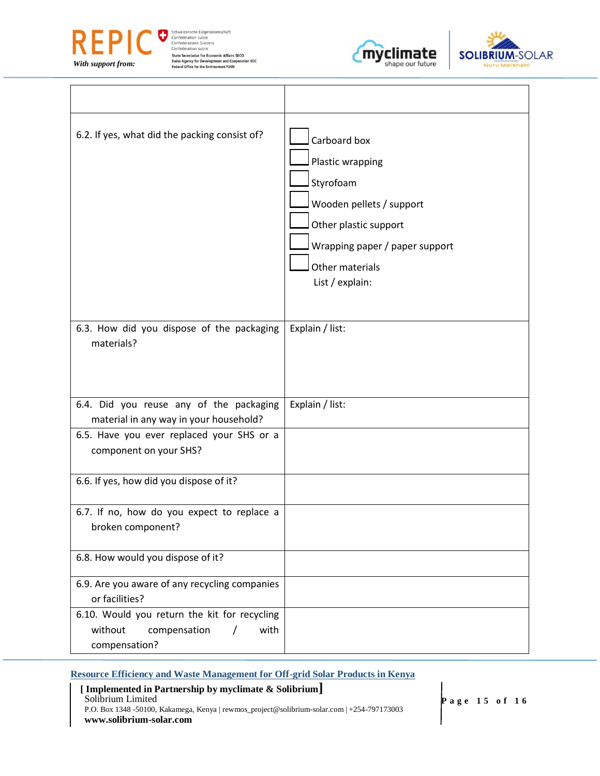

 $\Gamma$ 

Schweizerische Eidgenossenschaft<br>
Confederazion suisse<br>
Confederazion Svizzera<br>
Confederazium svizze<br>
State Secretarial for Economic Affairs SECO<br>
Swiss Agency for Development and Cooperation SDC<br>
Federal Office for the En





┑

| 6.2. If yes, what did the packing consist of?                                                    | Carboard box<br>Plastic wrapping<br>Styrofoam<br>Wooden pellets / support<br>Other plastic support<br>Wrapping paper / paper support<br>Other materials<br>List / explain: |
|--------------------------------------------------------------------------------------------------|----------------------------------------------------------------------------------------------------------------------------------------------------------------------------|
| 6.3. How did you dispose of the packaging<br>materials?                                          | Explain / list:                                                                                                                                                            |
|                                                                                                  |                                                                                                                                                                            |
| 6.4. Did you reuse any of the packaging<br>material in any way in your household?                | Explain / list:                                                                                                                                                            |
| 6.5. Have you ever replaced your SHS or a<br>component on your SHS?                              |                                                                                                                                                                            |
| 6.6. If yes, how did you dispose of it?                                                          |                                                                                                                                                                            |
| 6.7. If no, how do you expect to replace a<br>broken component?                                  |                                                                                                                                                                            |
| 6.8. How would you dispose of it?                                                                |                                                                                                                                                                            |
| 6.9. Are you aware of any recycling companies<br>or facilities?                                  |                                                                                                                                                                            |
| 6.10. Would you return the kit for recycling<br>without<br>compensation<br>with<br>compensation? |                                                                                                                                                                            |

ヿ

**Resource Efficiency and Waste Management for Off-grid Solar Products in Kenya**